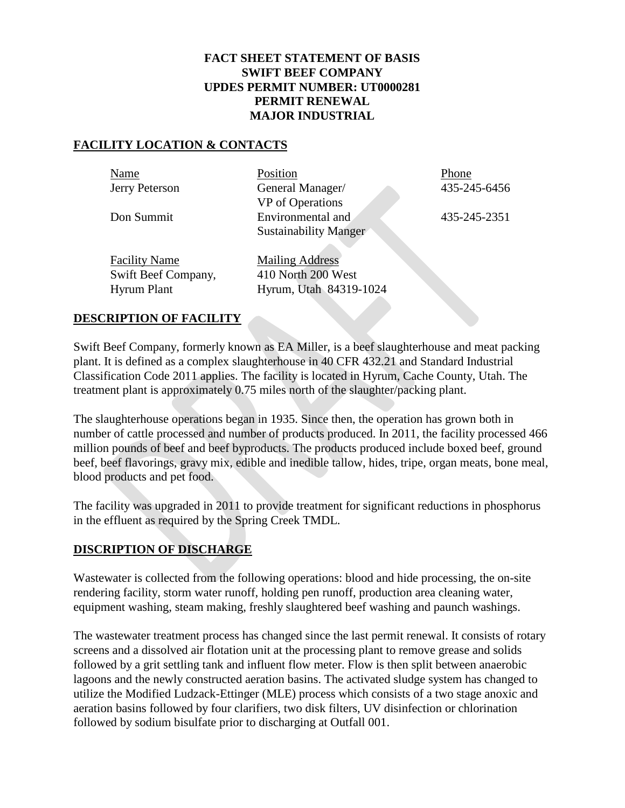#### **FACT SHEET STATEMENT OF BASIS SWIFT BEEF COMPANY UPDES PERMIT NUMBER: UT0000281 PERMIT RENEWAL MAJOR INDUSTRIAL**

#### **FACILITY LOCATION & CONTACTS**

| Name                 | Position                     | Phone        |
|----------------------|------------------------------|--------------|
| Jerry Peterson       | General Manager/             | 435-245-6456 |
|                      | VP of Operations             |              |
| Don Summit           | Environmental and            | 435-245-2351 |
|                      | <b>Sustainability Manger</b> |              |
|                      |                              |              |
| <b>Facility Name</b> | <b>Mailing Address</b>       |              |
| Swift Beef Company,  | 410 North 200 West           |              |
| <b>Hyrum Plant</b>   | Hyrum, Utah 84319-1024       |              |

#### **DESCRIPTION OF FACILITY**

Swift Beef Company, formerly known as EA Miller, is a beef slaughterhouse and meat packing plant. It is defined as a complex slaughterhouse in 40 CFR 432.21 and Standard Industrial Classification Code 2011 applies. The facility is located in Hyrum, Cache County, Utah. The treatment plant is approximately 0.75 miles north of the slaughter/packing plant.

The slaughterhouse operations began in 1935. Since then, the operation has grown both in number of cattle processed and number of products produced. In 2011, the facility processed 466 million pounds of beef and beef byproducts. The products produced include boxed beef, ground beef, beef flavorings, gravy mix, edible and inedible tallow, hides, tripe, organ meats, bone meal, blood products and pet food.

The facility was upgraded in 2011 to provide treatment for significant reductions in phosphorus in the effluent as required by the Spring Creek TMDL.

### **DISCRIPTION OF DISCHARGE**

Wastewater is collected from the following operations: blood and hide processing, the on-site rendering facility, storm water runoff, holding pen runoff, production area cleaning water, equipment washing, steam making, freshly slaughtered beef washing and paunch washings.

The wastewater treatment process has changed since the last permit renewal. It consists of rotary screens and a dissolved air flotation unit at the processing plant to remove grease and solids followed by a grit settling tank and influent flow meter. Flow is then split between anaerobic lagoons and the newly constructed aeration basins. The activated sludge system has changed to utilize the Modified Ludzack-Ettinger (MLE) process which consists of a two stage anoxic and aeration basins followed by four clarifiers, two disk filters, UV disinfection or chlorination followed by sodium bisulfate prior to discharging at Outfall 001.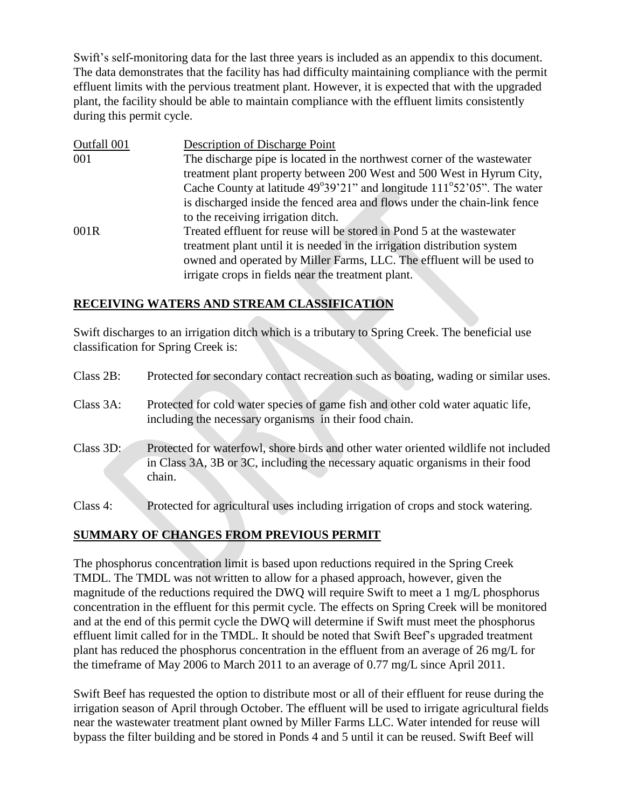Swift's self-monitoring data for the last three years is included as an appendix to this document. The data demonstrates that the facility has had difficulty maintaining compliance with the permit effluent limits with the pervious treatment plant. However, it is expected that with the upgraded plant, the facility should be able to maintain compliance with the effluent limits consistently during this permit cycle.

| Outfall 001 | Description of Discharge Point                                                              |
|-------------|---------------------------------------------------------------------------------------------|
| 001         | The discharge pipe is located in the northwest corner of the wastewater                     |
|             | treatment plant property between 200 West and 500 West in Hyrum City,                       |
|             | Cache County at latitude $49^{\circ}39'21''$ and longitude $111^{\circ}52'05''$ . The water |
|             | is discharged inside the fenced area and flows under the chain-link fence                   |
|             | to the receiving irrigation ditch.                                                          |
| 001R        | Treated effluent for reuse will be stored in Pond 5 at the wastewater                       |
|             | treatment plant until it is needed in the irrigation distribution system                    |
|             | owned and operated by Miller Farms, LLC. The effluent will be used to                       |
|             | irrigate crops in fields near the treatment plant.                                          |
|             |                                                                                             |

### **RECEIVING WATERS AND STREAM CLASSIFICATION**

Swift discharges to an irrigation ditch which is a tributary to Spring Creek. The beneficial use classification for Spring Creek is:

| Class 2B:   | Protected for secondary contact recreation such as boating, wading or similar uses.                                                                                             |
|-------------|---------------------------------------------------------------------------------------------------------------------------------------------------------------------------------|
| Class 3A:   | Protected for cold water species of game fish and other cold water aquatic life,<br>including the necessary organisms in their food chain.                                      |
| Class 3D:   | Protected for waterfowl, shore birds and other water oriented wildlife not included<br>in Class 3A, 3B or 3C, including the necessary aquatic organisms in their food<br>chain. |
| Class $4$ : | Protected for agricultural uses including irrigation of crops and stock watering.                                                                                               |

## **SUMMARY OF CHANGES FROM PREVIOUS PERMIT**

The phosphorus concentration limit is based upon reductions required in the Spring Creek TMDL. The TMDL was not written to allow for a phased approach, however, given the magnitude of the reductions required the DWQ will require Swift to meet a 1 mg/L phosphorus concentration in the effluent for this permit cycle. The effects on Spring Creek will be monitored and at the end of this permit cycle the DWQ will determine if Swift must meet the phosphorus effluent limit called for in the TMDL. It should be noted that Swift Beef's upgraded treatment plant has reduced the phosphorus concentration in the effluent from an average of 26 mg/L for the timeframe of May 2006 to March 2011 to an average of 0.77 mg/L since April 2011.

Swift Beef has requested the option to distribute most or all of their effluent for reuse during the irrigation season of April through October. The effluent will be used to irrigate agricultural fields near the wastewater treatment plant owned by Miller Farms LLC. Water intended for reuse will bypass the filter building and be stored in Ponds 4 and 5 until it can be reused. Swift Beef will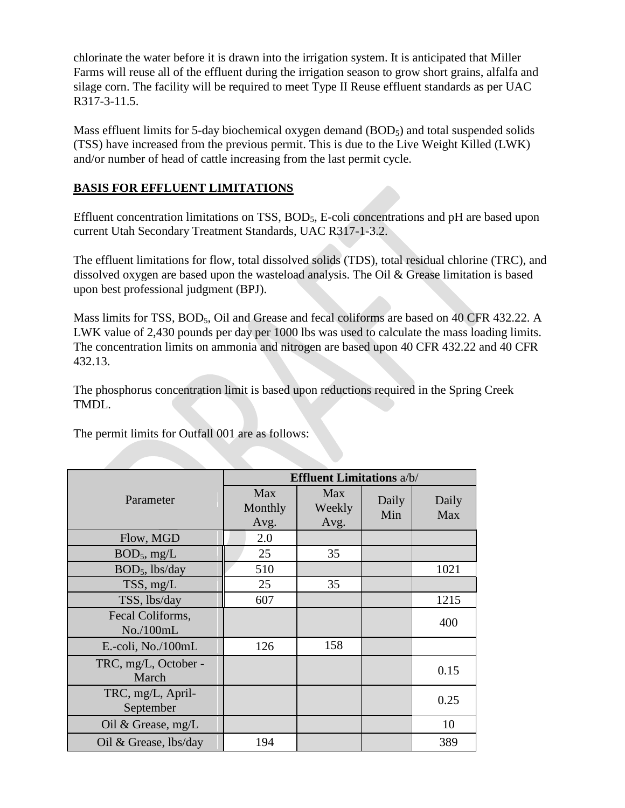chlorinate the water before it is drawn into the irrigation system. It is anticipated that Miller Farms will reuse all of the effluent during the irrigation season to grow short grains, alfalfa and silage corn. The facility will be required to meet Type II Reuse effluent standards as per UAC R317-3-11.5.

Mass effluent limits for 5-day biochemical oxygen demand  $(BOD<sub>5</sub>)$  and total suspended solids (TSS) have increased from the previous permit. This is due to the Live Weight Killed (LWK) and/or number of head of cattle increasing from the last permit cycle.

## **BASIS FOR EFFLUENT LIMITATIONS**

Effluent concentration limitations on TSS, BOD5, E-coli concentrations and pH are based upon current Utah Secondary Treatment Standards, UAC R317-1-3.2.

The effluent limitations for flow, total dissolved solids (TDS), total residual chlorine (TRC), and dissolved oxygen are based upon the wasteload analysis. The Oil & Grease limitation is based upon best professional judgment (BPJ).

Mass limits for TSS, BOD<sub>5</sub>, Oil and Grease and fecal coliforms are based on 40 CFR 432.22. A LWK value of 2,430 pounds per day per 1000 lbs was used to calculate the mass loading limits. The concentration limits on ammonia and nitrogen are based upon 40 CFR 432.22 and 40 CFR 432.13.

The phosphorus concentration limit is based upon reductions required in the Spring Creek TMDL.

The permit limits for Outfall 001 are as follows:

|                                | <b>Effluent Limitations a/b/</b> |                              |              |              |
|--------------------------------|----------------------------------|------------------------------|--------------|--------------|
| Parameter                      | Max<br>Monthly<br>Avg.           | <b>Max</b><br>Weekly<br>Avg. | Daily<br>Min | Daily<br>Max |
| Flow, MGD                      | 2.0                              |                              |              |              |
| $BOD_5$ , mg/L                 | 25                               | 35                           |              |              |
| $BOD5$ , lbs/day               | 510                              |                              |              | 1021         |
| TSS, mg/L                      | 25                               | 35                           |              |              |
| TSS, lbs/day                   | 607                              |                              |              | 1215         |
| Fecal Coliforms,<br>No./100mL  |                                  |                              |              | 400          |
| E.-coli, No./100mL             | 126                              | 158                          |              |              |
| TRC, mg/L, October -<br>March  |                                  |                              |              | 0.15         |
| TRC, mg/L, April-<br>September |                                  |                              |              | 0.25         |
| Oil & Grease, $mg/L$           |                                  |                              |              | 10           |
| Oil & Grease, lbs/day          | 194                              |                              |              | 389          |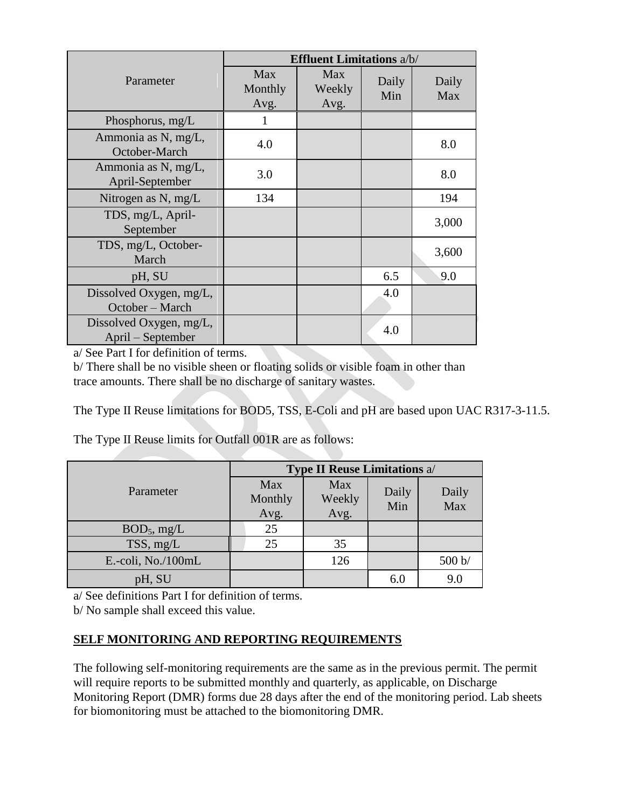|                                              | <b>Effluent Limitations a/b/</b> |                              |              |              |
|----------------------------------------------|----------------------------------|------------------------------|--------------|--------------|
| Parameter                                    | Max<br>Monthly<br>Avg.           | <b>Max</b><br>Weekly<br>Avg. | Daily<br>Min | Daily<br>Max |
| Phosphorus, mg/L                             | 1                                |                              |              |              |
| Ammonia as N, mg/L,<br>October-March         | 4.0                              |                              |              | 8.0          |
| Ammonia as N, mg/L,<br>April-September       | 3.0                              |                              |              | 8.0          |
| Nitrogen as N, mg/L                          | 134                              |                              |              | 194          |
| TDS, mg/L, April-<br>September               |                                  |                              |              | 3,000        |
| TDS, mg/L, October-<br>March                 |                                  |                              |              | 3,600        |
| pH, SU                                       |                                  |                              | 6.5          | 9.0          |
| Dissolved Oxygen, mg/L,<br>October - March   |                                  |                              | 4.0          |              |
| Dissolved Oxygen, mg/L,<br>April – September |                                  |                              | 4.0          |              |

a/ See Part I for definition of terms.

b/ There shall be no visible sheen or floating solids or visible foam in other than trace amounts. There shall be no discharge of sanitary wastes.

The Type II Reuse limitations for BOD5, TSS, E-Coli and pH are based upon UAC R317-3-11.5.

The Type II Reuse limits for Outfall 001R are as follows:

| Parameter          | <b>Type II Reuse Limitations a/</b> |        |       |        |
|--------------------|-------------------------------------|--------|-------|--------|
|                    | Max                                 | Max    | Daily | Daily  |
|                    | Monthly                             | Weekly | Min   | Max    |
|                    | Avg.                                | Avg.   |       |        |
| $BOD_5$ , mg/L     | 25                                  |        |       |        |
| TSS, mg/L          | 25                                  | 35     |       |        |
| E.-coli, No./100mL |                                     | 126    |       | 500 b/ |
| pH, SU             |                                     |        | 6.0   | 9.0    |

a/ See definitions Part I for definition of terms.

b/ No sample shall exceed this value.

## **SELF MONITORING AND REPORTING REQUIREMENTS**

The following self-monitoring requirements are the same as in the previous permit. The permit will require reports to be submitted monthly and quarterly, as applicable, on Discharge Monitoring Report (DMR) forms due 28 days after the end of the monitoring period. Lab sheets for biomonitoring must be attached to the biomonitoring DMR.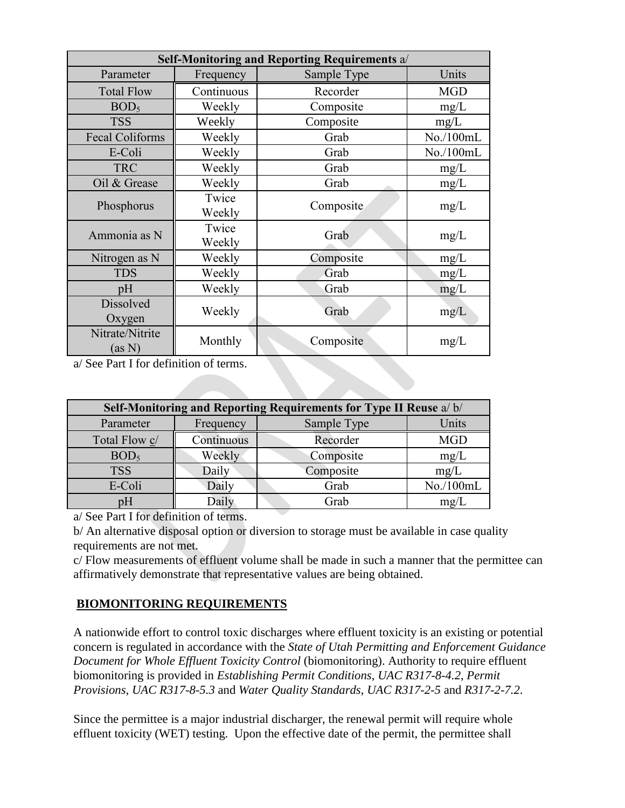| Self-Monitoring and Reporting Requirements a/ |                 |             |            |  |
|-----------------------------------------------|-----------------|-------------|------------|--|
| Parameter                                     | Frequency       | Sample Type | Units      |  |
| <b>Total Flow</b>                             | Continuous      | Recorder    | <b>MGD</b> |  |
| BOD <sub>5</sub>                              | Weekly          | Composite   | mg/L       |  |
| <b>TSS</b>                                    | Weekly          | Composite   | mg/L       |  |
| <b>Fecal Coliforms</b>                        | Weekly          | Grab        | No./100mL  |  |
| E-Coli                                        | Weekly          | Grab        | No./100mL  |  |
| <b>TRC</b>                                    | Weekly          | Grab        | mg/L       |  |
| Oil & Grease                                  | Weekly          | Grab        | mg/L       |  |
| Phosphorus                                    | Twice<br>Weekly | Composite   | mg/L       |  |
| Ammonia as N                                  | Twice<br>Weekly | Grab        | mg/L       |  |
| Nitrogen as N                                 | Weekly          | Composite   | mg/L       |  |
| <b>TDS</b>                                    | Weekly          | Grab        | mg/L       |  |
| pH                                            | Weekly          | Grab        | mg/L       |  |
| <b>Dissolved</b><br>Oxygen                    | Weekly          | Grab        | mg/L       |  |
| Nitrate/Nitrite<br>(as N)                     | Monthly         | Composite   | mg/L       |  |

a/ See Part I for definition of terms.

| Self-Monitoring and Reporting Requirements for Type II Reuse a/b/ |            |             |            |  |  |
|-------------------------------------------------------------------|------------|-------------|------------|--|--|
| Parameter                                                         | Frequency  | Sample Type | Units      |  |  |
| Total Flow c/                                                     | Continuous | Recorder    | <b>MGD</b> |  |  |
| BOD <sub>5</sub>                                                  | Weekly     | Composite   | mg/L       |  |  |
| <b>TSS</b>                                                        | Daily      | Composite   | mg/L       |  |  |
| E-Coli                                                            | Daily      | Grab        | No./100mL  |  |  |
| pΗ                                                                | Daily      | Grab        | mg/L       |  |  |

a/ See Part I for definition of terms.

b/ An alternative disposal option or diversion to storage must be available in case quality requirements are not met.

c/ Flow measurements of effluent volume shall be made in such a manner that the permittee can affirmatively demonstrate that representative values are being obtained.

### **BIOMONITORING REQUIREMENTS**

A nationwide effort to control toxic discharges where effluent toxicity is an existing or potential concern is regulated in accordance with the *State of Utah Permitting and Enforcement Guidance Document for Whole Effluent Toxicity Control* (biomonitoring). Authority to require effluent biomonitoring is provided in *Establishing Permit Conditions*, *UAC R317-8-4.2*, *Permit Provisions, UAC R317-8-5.3* and *Water Quality Standards*, *UAC R317-2-5* and *R317-2-7.2*.

Since the permittee is a major industrial discharger, the renewal permit will require whole effluent toxicity (WET) testing. Upon the effective date of the permit, the permittee shall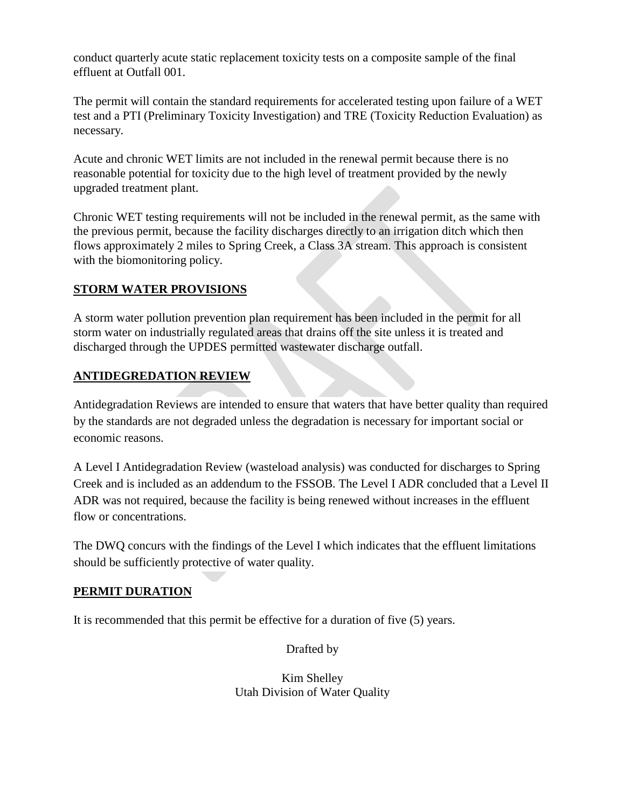conduct quarterly acute static replacement toxicity tests on a composite sample of the final effluent at Outfall 001.

The permit will contain the standard requirements for accelerated testing upon failure of a WET test and a PTI (Preliminary Toxicity Investigation) and TRE (Toxicity Reduction Evaluation) as necessary.

Acute and chronic WET limits are not included in the renewal permit because there is no reasonable potential for toxicity due to the high level of treatment provided by the newly upgraded treatment plant.

Chronic WET testing requirements will not be included in the renewal permit, as the same with the previous permit, because the facility discharges directly to an irrigation ditch which then flows approximately 2 miles to Spring Creek, a Class 3A stream. This approach is consistent with the biomonitoring policy.

## **STORM WATER PROVISIONS**

A storm water pollution prevention plan requirement has been included in the permit for all storm water on industrially regulated areas that drains off the site unless it is treated and discharged through the UPDES permitted wastewater discharge outfall.

## **ANTIDEGREDATION REVIEW**

[Antidegradation Reviews](http://www.waterquality.utah.gov/WQS/AntiDeg.htm) are intended to ensure that waters that have better quality than required by the standards are not degraded unless the degradation is necessary for important social or economic reasons.

A Level I Antidegradation Review (wasteload analysis) was conducted for discharges to Spring Creek and is included as an addendum to the FSSOB. The Level I ADR concluded that a Level II ADR was not required, because the facility is being renewed without increases in the effluent flow or concentrations.

The DWQ concurs with the findings of the Level I which indicates that the effluent limitations should be sufficiently protective of water quality.

## **PERMIT DURATION**

It is recommended that this permit be effective for a duration of five (5) years.

Drafted by

Kim Shelley Utah Division of Water Quality